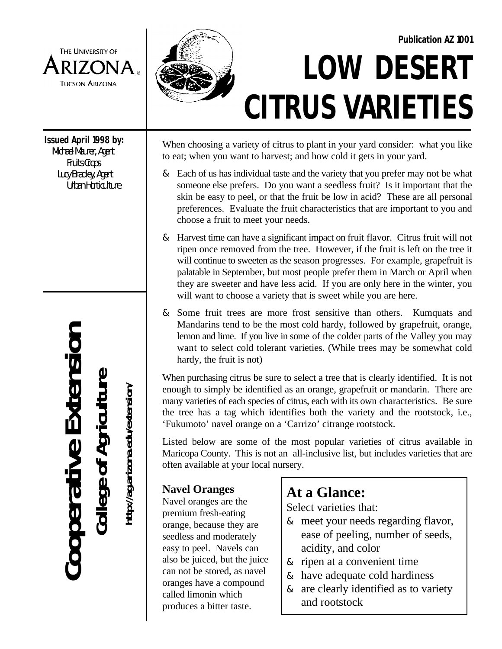

**Issued April 1998 by:** Michael Maurer, Agent Fruits Crops

 Lucy Bradley, Agent Urban Horticulture

**Cooperative Extension** Cooperative Extension **College of Agriculture College of Agriculture**

**http://ag.arizona.edu/extension/** http://ag.arizona.edu/extension/



# **LOW DESERT CITRUS VARIETIES Publication AZ 1001**

When choosing a variety of citrus to plant in your yard consider: what you like to eat; when you want to harvest; and how cold it gets in your yard.

- & Each of us has individual taste and the variety that you prefer may not be what someone else prefers. Do you want a seedless fruit? Is it important that the skin be easy to peel, or that the fruit be low in acid? These are all persona l preferences. Evaluate the fruit characteristics that are important to you and choose a fruit to meet your needs.
- & Harvest time can have a significant impact on fruit flavor. Citrus fruit will not ripen once removed from the tree. However, if the fruit is left on the tree it will continue to sweeten as the season progresses. For example, grapefruit is palatable in September, but most people prefer them in March or April when they are sweeter and have less acid. If you are only here in the winter, yo u will want to choose a variety that is sweet while you are here.
- & Som e fruit trees are more frost sensitive than others. Kumquats an d Mandarin s tend to be the most cold hardy, followed by grapefruit, orange , lemon and lime. If you live in some of the colder parts of the Valley you may want to select cold tolerant varieties. (While trees may be somewhat col d hardy, the fruit is not)

When purchasing citrus be sure to select a tree that is clearly identified. It is not enough to simply be identified as an orange, grapefruit or mandarin. There ar e many varieties of each species of citrus, each with its own characteristics. Be sure the tree has a tag which identifies both the variety and the rootstock, i.e. , 'Fukumoto' navel orange on a 'Carrizo' citrange rootstock.

Listed below are some of the most popular varieties of citrus available i n Maricopa County. This is not an all-inclusive list, but includes varieties that are often available at your local nursery.

# **Navel Oranges**

Navel oranges are the premium fresh-eating orange, because they are seedless and moderately easy to peel. Navels can also be juiced, but the juice can not be stored, as navel oranges have a compound called limonin which produces a bitter taste.

# **At a Glance:**

Select varieties that:

- & meet your needs regarding flavor, ease of peeling, number of seeds, acidity, and color
- & ripen at a convenient time
- & have adequate cold hardiness
- & are clearly identified as to variety and rootstock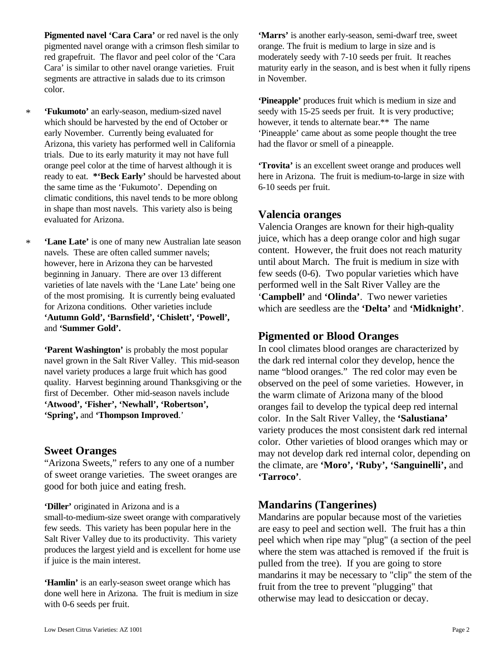pigmented navel orange with a crimson flesh similar to orange. The fruit is medium to large in size and is red grapefruit. The flavor and peel color of the 'Cara moderately seedy with 7-10 seeds per fruit. It reaches segments are attractive in salads due to its crimson in November. color.

- \* which should be harvested by the end of October or however, it tends to alternate bear.\*\* The name Arizona, this variety has performed well in California had the flavor or smell of a pineapple. trials. Due to its early maturity it may not have full orange peel color at the time of harvest although it is the same time as the 'Fukumoto'. Depending on climatic conditions, this navel tends to be more oblong in shape than most navels. This variety also is being evaluated for Arizona.
- \* **'Lane Late'** is one of many new Australian late season navels. These are often called summer navels; however, here in Arizona they can be harvested beginning in January. There are over 13 different varieties of late navels with the 'Lane Late' being one of the most promising. It is currently being evaluated for Arizona conditions. Other varieties include **'Autumn Gold', 'Barnsfield', 'Chislett', 'Powell',** and **'Summer Gold'.**

**'Parent Washington'** is probably the most popular navel grown in the Salt River Valley. This mid-season navel variety produces a large fruit which has good quality. Harvest beginning around Thanksgiving or the first of December. Other mid-season navels include **'Atwood', 'Fisher', 'Newhall', 'Robertson', 'Spring',** and **'Thompson Improved**.'

#### **Sweet Oranges**

"Arizona Sweets," refers to any one of a number of sweet orange varieties. The sweet oranges are good for both juice and eating fresh.

**'Diller'** originated in Arizona and is a

small-to-medium-size sweet orange with comparatively few seeds. This variety has been popular here in the Salt River Valley due to its productivity. This variety produces the largest yield and is excellent for home use if juice is the main interest.

**'Hamlin'** is an early-season sweet orange which has done well here in Arizona. The fruit is medium in size with 0-6 seeds per fruit.

**Pigmented navel 'Cara Cara'** or red navel is the only **'Marrs'** is another early-season, semi-dwarf tree, sweet Cara' is similar to other navel orange varieties. Fruit maturity early in the season, and is best when it fully ripens

'Fukumoto' an early-season, medium-sized navel seedy with 15-25 seeds per fruit. It is very productive; early November. Currently being evaluated for 'Pineapple' came about as some people thought the tree **'Pineapple'** produces fruit which is medium in size and

ready to eat. **\*'Beck Early'** should be harvested about here in Arizona. The fruit is medium-to-large in size with the same time as the 'Fukumoto'. Depending on 6-10 seeds per fruit. **'Trovita'** is an excellent sweet orange and produces well

#### **Valencia oranges**

Valencia Oranges are known for their high-quality juice, which has a deep orange color and high sugar content. However, the fruit does not reach maturity until about March. The fruit is medium in size with few seeds (0-6). Two popular varieties which have performed well in the Salt River Valley are the '**Campbell'** and **'Olinda'**. Two newer varieties which are seedless are the **'Delta'** and **'Midknight'**.

# **Pigmented or Blood Oranges**

In cool climates blood oranges are characterized by the dark red internal color they develop, hence the name "blood oranges." The red color may even be observed on the peel of some varieties. However, in the warm climate of Arizona many of the blood oranges fail to develop the typical deep red internal color. In the Salt River Valley, the **'Salustiana'** variety produces the most consistent dark red internal color. Other varieties of blood oranges which may or may not develop dark red internal color, depending on the climate, are **'Moro', 'Ruby', 'Sanguinelli',** and **'Tarroco'**.

# **Mandarins (Tangerines)**

Mandarins are popular because most of the varieties are easy to peel and section well. The fruit has a thin peel which when ripe may "plug" (a section of the peel where the stem was attached is removed if the fruit is pulled from the tree). If you are going to store mandarins it may be necessary to "clip" the stem of the fruit from the tree to prevent "plugging" that otherwise may lead to desiccation or decay.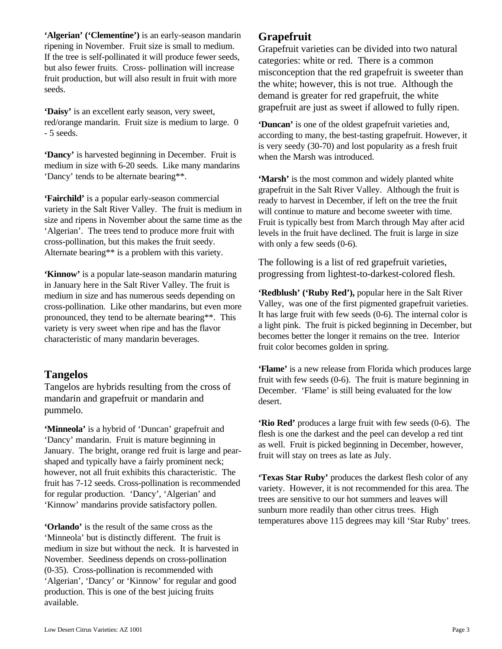**'Algerian' ('Clementine')** is an early-season mandarin ripening in November. Fruit size is small to medium. If the tree is self-pollinated it will produce fewer seeds, but also fewer fruits. Cross- pollination will increase fruit production, but will also result in fruit with more seeds.

**'Daisy'** is an excellent early season, very sweet, red/orange mandarin. Fruit size is medium to large. 0 - 5 seeds.

**'Dancy'** is harvested beginning in December. Fruit is medium in size with 6-20 seeds. Like many mandarins 'Dancy' tends to be alternate bearing\*\*.

**'Fairchild'** is a popular early-season commercial variety in the Salt River Valley. The fruit is medium in size and ripens in November about the same time as the 'Algerian'. The trees tend to produce more fruit with cross-pollination, but this makes the fruit seedy. Alternate bearing\*\* is a problem with this variety.

in January here in the Salt River Valley. The fruit is medium in size and has numerous seeds depending on cross-pollination. Like other mandarins, but even more pronounced, they tend to be alternate bearing\*\*. This variety is very sweet when ripe and has the flavor characteristic of many mandarin beverages.

#### **Tangelos**

Tangelos are hybrids resulting from the cross of mandarin and grapefruit or mandarin and pummelo.

**'Minneola'** is a hybrid of 'Duncan' grapefruit and 'Dancy' mandarin. Fruit is mature beginning in January. The bright, orange red fruit is large and pearshaped and typically have a fairly prominent neck; however, not all fruit exhibits this characteristic. The fruit has 7-12 seeds. Cross-pollination is recommended for regular production. 'Dancy', 'Algerian' and 'Kinnow' mandarins provide satisfactory pollen.

**'Orlando'** is the result of the same cross as the 'Minneola' but is distinctly different. The fruit is medium in size but without the neck. It is harvested in November. Seediness depends on cross-pollination (0-35). Cross-pollination is recommended with 'Algerian', 'Dancy' or 'Kinnow' for regular and good production. This is one of the best juicing fruits available.

# **Grapefruit**

Grapefruit varieties can be divided into two natural categories: white or red. There is a common misconception that the red grapefruit is sweeter than the white; however, this is not true. Although the demand is greater for red grapefruit, the white grapefruit are just as sweet if allowed to fully ripen.

**'Duncan'** is one of the oldest grapefruit varieties and, according to many, the best-tasting grapefruit. However, it is very seedy (30-70) and lost popularity as a fresh fruit when the Marsh was introduced.

**'Marsh'** is the most common and widely planted white grapefruit in the Salt River Valley. Although the fruit is ready to harvest in December, if left on the tree the fruit will continue to mature and become sweeter with time. Fruit is typically best from March through May after acid levels in the fruit have declined. The fruit is large in size with only a few seeds (0-6).

**'Kinnow'** is a popular late-season mandarin maturing progressing from lightest-to-darkest-colored flesh. The following is a list of red grapefruit varieties,

> **'Redblush' ('Ruby Red'),** popular here in the Salt River Valley, was one of the first pigmented grapefruit varieties. It has large fruit with few seeds (0-6). The internal color is a light pink. The fruit is picked beginning in December, but becomes better the longer it remains on the tree. Interior fruit color becomes golden in spring.

> **'Flame'** is a new release from Florida which produces large fruit with few seeds (0-6). The fruit is mature beginning in December. 'Flame' is still being evaluated for the low desert.

> **'Rio Red'** produces a large fruit with few seeds (0-6). The flesh is one the darkest and the peel can develop a red tint as well. Fruit is picked beginning in December, however, fruit will stay on trees as late as July.

> **'Texas Star Ruby'** produces the darkest flesh color of any variety. However, it is not recommended for this area. The trees are sensitive to our hot summers and leaves will sunburn more readily than other citrus trees. High temperatures above 115 degrees may kill 'Star Ruby' trees.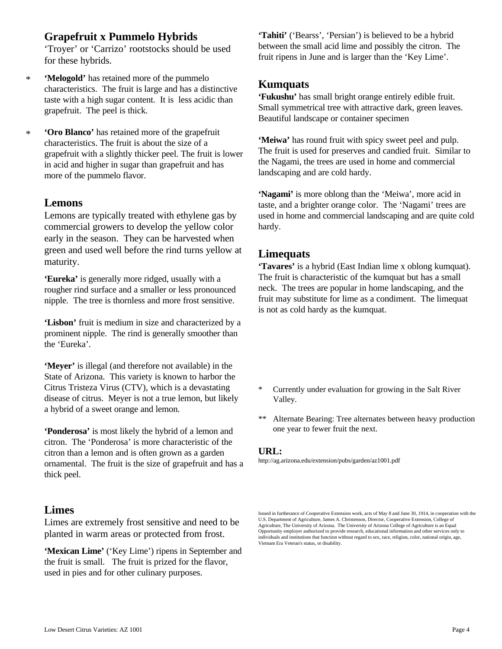# **Grapefruit x Pummelo Hybrids**

'Troyer' or 'Carrizo' rootstocks should be used for these hybrids.

- \* **'Melogold'** has retained more of the pummelo characteristics. The fruit is large and has a distinctive taste with a high sugar content. It is less acidic than grapefruit. The peel is thick.
- \* **'Oro Blanco'** has retained more of the grapefruit characteristics. The fruit is about the size of a grapefruit with a slightly thicker peel. The fruit is lower in acid and higher in sugar than grapefruit and has more of the pummelo flavor.

#### **Lemons**

Lemons are typically treated with ethylene gas by commercial growers to develop the yellow color early in the season. They can be harvested when green and used well before the rind turns yellow at maturity.

**'Eureka'** is generally more ridged, usually with a rougher rind surface and a smaller or less pronounced nipple. The tree is thornless and more frost sensitive.

**'Lisbon'** fruit is medium in size and characterized by a prominent nipple. The rind is generally smoother than the 'Eureka'.

**'Meyer'** is illegal (and therefore not available) in the State of Arizona. This variety is known to harbor the Citrus Tristeza Virus (CTV), which is a devastating disease of citrus. Meyer is not a true lemon, but likely a hybrid of a sweet orange and lemon.

**'Ponderosa'** is most likely the hybrid of a lemon and citron. The 'Ponderosa' is more characteristic of the citron than a lemon and is often grown as a garden ornamental. The fruit is the size of grapefruit and has a thick peel.

# **Limes**

Limes are extremely frost sensitive and need to be planted in warm areas or protected from frost.

**'Mexican Lime'** ('Key Lime') ripens in September and the fruit is small. The fruit is prized for the flavor, used in pies and for other culinary purposes.

**'Tahiti'** ('Bearss', 'Persian') is believed to be a hybrid between the small acid lime and possibly the citron. The fruit ripens in June and is larger than the 'Key Lime'.

#### **Kumquats**

**'Fukushu'** has small bright orange entirely edible fruit. Small symmetrical tree with attractive dark, green leaves. Beautiful landscape or container specimen

**'Meiwa'** has round fruit with spicy sweet peel and pulp. The fruit is used for preserves and candied fruit. Similar to the Nagami, the trees are used in home and commercial landscaping and are cold hardy.

**'Nagami'** is more oblong than the 'Meiwa', more acid in taste, and a brighter orange color. The 'Nagami' trees are used in home and commercial landscaping and are quite cold hardy.

#### **Limequats**

**'Tavares'** is a hybrid (East Indian lime x oblong kumquat). The fruit is characteristic of the kumquat but has a small neck. The trees are popular in home landscaping, and the fruit may substitute for lime as a condiment. The limequat is not as cold hardy as the kumquat.

- \* Currently under evaluation for growing in the Salt River Valley.
- \*\* Alternate Bearing: Tree alternates between heavy production one year to fewer fruit the next.

#### **URL:**

http://ag.arizona.edu/extension/pubs/garden/az1001.pdf

Issued in furtherance of Cooperative Extension work, acts of May 8 and June 30, 1914, in cooperation with the U.S. Department of Agriculture, James A. Christenson, Director, Cooperative Extension, College of Agriculture, The University of Arizona. The University of Arizona College of Agriculture is an Equal Opportunity employer authorized to provide research, educational information and other services only to individuals and institutions that function without regard to sex, race, religion, color, national origin, age, Vietnam Era Veteran's status, or disability.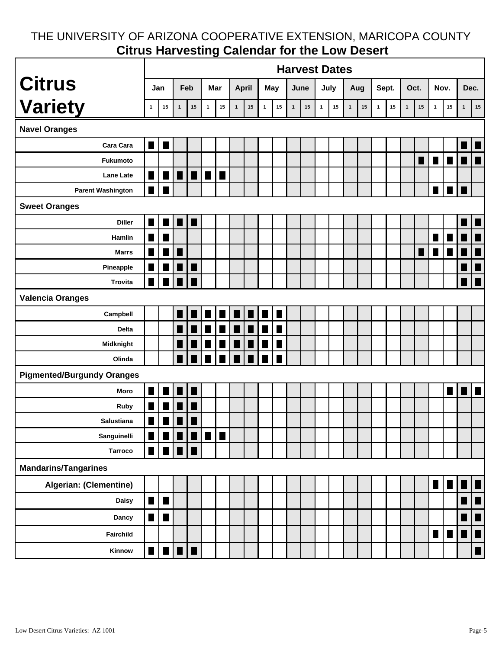# THE UNIVERSITY OF ARIZONA COOPERATIVE EXTENSION, MARICOPA COUNTY **Citrus Harvesting Calendar for the Low Desert**

|                                   | <b>Harvest Dates</b>                     |                |                                                                                                                                                                                                                                                                                                                                                                                                                                                |                |                                                                            |                |                |                |                |                |              |    |              |        |              |    |              |            |              |                |                |                |              |                          |
|-----------------------------------|------------------------------------------|----------------|------------------------------------------------------------------------------------------------------------------------------------------------------------------------------------------------------------------------------------------------------------------------------------------------------------------------------------------------------------------------------------------------------------------------------------------------|----------------|----------------------------------------------------------------------------|----------------|----------------|----------------|----------------|----------------|--------------|----|--------------|--------|--------------|----|--------------|------------|--------------|----------------|----------------|----------------|--------------|--------------------------|
| <b>Citrus</b>                     | Jan                                      |                | Feb                                                                                                                                                                                                                                                                                                                                                                                                                                            |                | Mar                                                                        |                | <b>April</b>   |                | May            |                | June         |    | July         |        | Aug          |    | Sept.        |            | Oct.         |                | Nov.           |                | Dec.         |                          |
| <b>Variety</b>                    | $\mathbf{1}$                             | 15             | $\mathbf{1}$                                                                                                                                                                                                                                                                                                                                                                                                                                   | 15             | $\mathbf{1}$                                                               | ${\bf 15}$     | $\mathbf{1}$   | 15             | $\mathbf{1}$   | ${\bf 15}$     | $\mathbf{1}$ | 15 | $\mathbf{1}$ | $15\,$ | $\mathbf{1}$ | 15 | $\mathbf{1}$ | ${\bf 15}$ | $\mathbf{1}$ | 15             | $\mathbf{1}$   | 15             | $\mathbf{1}$ | 15                       |
| <b>Navel Oranges</b>              |                                          |                |                                                                                                                                                                                                                                                                                                                                                                                                                                                |                |                                                                            |                |                |                |                |                |              |    |              |        |              |    |              |            |              |                |                |                |              |                          |
| Cara Cara                         | <b>T</b>                                 | П              |                                                                                                                                                                                                                                                                                                                                                                                                                                                |                |                                                                            |                |                |                |                |                |              |    |              |        |              |    |              |            |              |                |                |                |              |                          |
| Fukumoto                          |                                          |                |                                                                                                                                                                                                                                                                                                                                                                                                                                                |                |                                                                            |                |                |                |                |                |              |    |              |        |              |    |              |            |              | $\blacksquare$ | $\blacksquare$ | $\blacksquare$ | ī            | 佇                        |
| <b>Lane Late</b>                  | $\Box$                                   | $\blacksquare$ |                                                                                                                                                                                                                                                                                                                                                                                                                                                | $\blacksquare$ | $\blacksquare$                                                             |                |                |                |                |                |              |    |              |        |              |    |              |            |              |                |                |                |              |                          |
| <b>Parent Washington</b>          | $\blacklozenge$                          |                |                                                                                                                                                                                                                                                                                                                                                                                                                                                |                |                                                                            |                |                |                |                |                |              |    |              |        |              |    |              |            |              |                | $\blacksquare$ | ٦              |              |                          |
| <b>Sweet Oranges</b>              |                                          |                |                                                                                                                                                                                                                                                                                                                                                                                                                                                |                |                                                                            |                |                |                |                |                |              |    |              |        |              |    |              |            |              |                |                |                |              |                          |
| <b>Diller</b>                     |                                          |                | ♦                                                                                                                                                                                                                                                                                                                                                                                                                                              | ٠              |                                                                            |                |                |                |                |                |              |    |              |        |              |    |              |            |              |                |                |                |              | I                        |
| <b>Hamlin</b>                     |                                          | ٠              |                                                                                                                                                                                                                                                                                                                                                                                                                                                |                |                                                                            |                |                |                |                |                |              |    |              |        |              |    |              |            |              |                | ٠              | ٠              |              | $\blacksquare$           |
| <b>Marrs</b>                      |                                          | ٠              | ٦                                                                                                                                                                                                                                                                                                                                                                                                                                              |                |                                                                            |                |                |                |                |                |              |    |              |        |              |    |              |            |              |                | ×              | ٠              |              | $\blacksquare$           |
| Pineapple                         |                                          | ۷              | $\blacksquare$                                                                                                                                                                                                                                                                                                                                                                                                                                 | $\blacksquare$ |                                                                            |                |                |                |                |                |              |    |              |        |              |    |              |            |              |                |                |                | ٠            | $\overline{\phantom{a}}$ |
| <b>Trovita</b>                    | $\Box$                                   | $\blacksquare$ | $\blacksquare$                                                                                                                                                                                                                                                                                                                                                                                                                                 | $\blacksquare$ |                                                                            |                |                |                |                |                |              |    |              |        |              |    |              |            |              |                |                |                | H            | $\blacksquare$           |
| <b>Valencia Oranges</b>           |                                          |                |                                                                                                                                                                                                                                                                                                                                                                                                                                                |                |                                                                            |                |                |                |                |                |              |    |              |        |              |    |              |            |              |                |                |                |              |                          |
| Campbell                          |                                          |                | $\blacklozenge$                                                                                                                                                                                                                                                                                                                                                                                                                                |                | $\blacksquare$                                                             | ٠              |                | П              | $\blacksquare$ | $\blacksquare$ |              |    |              |        |              |    |              |            |              |                |                |                |              |                          |
| <b>Delta</b>                      |                                          |                | ٠                                                                                                                                                                                                                                                                                                                                                                                                                                              | ш              | $\blacksquare$                                                             | П              | $\blacksquare$ | $\blacksquare$ | $\blacksquare$ | $\blacksquare$ |              |    |              |        |              |    |              |            |              |                |                |                |              |                          |
| Midknight                         |                                          |                |                                                                                                                                                                                                                                                                                                                                                                                                                                                | $\blacksquare$ | $\Box$                                                                     | $\blacksquare$ | $\blacksquare$ |                | ▉▏▉▏           | $\blacksquare$ |              |    |              |        |              |    |              |            |              |                |                |                |              |                          |
| Olinda                            |                                          |                |                                                                                                                                                                                                                                                                                                                                                                                                                                                |                |                                                                            |                |                | a la 1 a 1     |                | $\blacksquare$ |              |    |              |        |              |    |              |            |              |                |                |                |              |                          |
| <b>Pigmented/Burgundy Oranges</b> |                                          |                |                                                                                                                                                                                                                                                                                                                                                                                                                                                |                |                                                                            |                |                |                |                |                |              |    |              |        |              |    |              |            |              |                |                |                |              |                          |
| Moro                              |                                          |                | $\blacksquare$                                                                                                                                                                                                                                                                                                                                                                                                                                 | $\blacksquare$ |                                                                            |                |                |                |                |                |              |    |              |        |              |    |              |            |              |                |                | ٠              |              | $\blacksquare$           |
| <b>Ruby</b>                       |                                          | $\blacksquare$ | $\blacksquare$                                                                                                                                                                                                                                                                                                                                                                                                                                 | $\blacksquare$ |                                                                            |                |                |                |                |                |              |    |              |        |              |    |              |            |              |                |                |                |              |                          |
| Salustiana                        | $\blacksquare$                           | $\blacksquare$ | $\blacksquare$                                                                                                                                                                                                                                                                                                                                                                                                                                 | $\blacksquare$ |                                                                            |                |                |                |                |                |              |    |              |        |              |    |              |            |              |                |                |                |              |                          |
| Sanguinelli                       | $\blacksquare$                           |                |                                                                                                                                                                                                                                                                                                                                                                                                                                                |                | $\blacksquare$ $\blacksquare$ $\blacksquare$ $\blacksquare$ $\blacksquare$ |                |                |                |                |                |              |    |              |        |              |    |              |            |              |                |                |                |              |                          |
| <b>Tarroco</b>                    | $\blacksquare\hspace{0.1cm}\blacksquare$ |                |                                                                                                                                                                                                                                                                                                                                                                                                                                                | $\blacksquare$ |                                                                            |                |                |                |                |                |              |    |              |        |              |    |              |            |              |                |                |                |              |                          |
| <b>Mandarins/Tangarines</b>       |                                          |                |                                                                                                                                                                                                                                                                                                                                                                                                                                                |                |                                                                            |                |                |                |                |                |              |    |              |        |              |    |              |            |              |                |                |                |              |                          |
| <b>Algerian: (Clementine)</b>     |                                          |                |                                                                                                                                                                                                                                                                                                                                                                                                                                                |                |                                                                            |                |                |                |                |                |              |    |              |        |              |    |              |            |              |                | W              |                |              |                          |
| <b>Daisy</b>                      | ш                                        | $\blacksquare$ |                                                                                                                                                                                                                                                                                                                                                                                                                                                |                |                                                                            |                |                |                |                |                |              |    |              |        |              |    |              |            |              |                |                |                |              |                          |
| <b>Dancy</b>                      | ٠                                        | ٦              |                                                                                                                                                                                                                                                                                                                                                                                                                                                |                |                                                                            |                |                |                |                |                |              |    |              |        |              |    |              |            |              |                |                |                |              |                          |
| Fairchild                         |                                          |                |                                                                                                                                                                                                                                                                                                                                                                                                                                                |                |                                                                            |                |                |                |                |                |              |    |              |        |              |    |              |            |              |                | $\blacksquare$ | $\blacksquare$ |              | $\blacksquare$           |
| Kinnow                            | $\blacksquare$                           |                | $\begin{array}{c c c c c c} \hline \multicolumn{1}{ c }{\textbf{I}} & \multicolumn{1}{ c }{\textbf{I}} & \multicolumn{1}{ c }{\textbf{I}} \\ \hline \multicolumn{1}{ c }{\textbf{I}} & \multicolumn{1}{ c }{\textbf{I}} & \multicolumn{1}{ c }{\textbf{I}} & \multicolumn{1}{ c }{\textbf{I}} \\ \hline \multicolumn{1}{ c }{\textbf{I}} & \multicolumn{1}{ c }{\textbf{I}} & \multicolumn{1}{ c }{\textbf{I}} & \multicolumn{1}{ c }{\textbf$ |                |                                                                            |                |                |                |                |                |              |    |              |        |              |    |              |            |              |                |                |                |              | E                        |